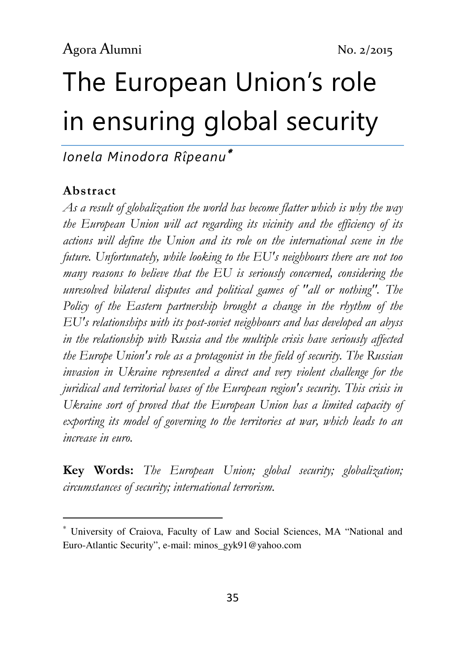# The European Union's role in ensuring global security

Ionela Minodora Rîpeanu<sup>∗</sup>

#### Abstract

 $\overline{a}$ 

As a result of globalization the world has become flatter which is why the way the European Union will act regarding its vicinity and the efficiency of its actions will define the Union and its role on the international scene in the future. Unfortunately, while looking to the EU's neighbours there are not too many reasons to believe that the EU is seriously concerned, considering the unresolved bilateral disputes and political games of "all or nothing". The Policy of the Eastern partnership brought a change in the rhythm of the EU's relationships with its post-soviet neighbours and has developed an abyss in the relationship with Russia and the multiple crisis have seriously affected the Europe Union's role as a protagonist in the field of security. The Russian invasion in Ukraine represented a direct and very violent challenge for the juridical and territorial bases of the European region's security. This crisis in Ukraine sort of proved that the European Union has a limited capacity of exporting its model of governing to the territories at war, which leads to an increase in euro.

Key Words: The European Union; global security; globalization; circumstances of security; international terrorism.

<sup>∗</sup> University of Craiova, Faculty of Law and Social Sciences, MA "National and Euro-Atlantic Security", e-mail: minos\_gyk91@yahoo.com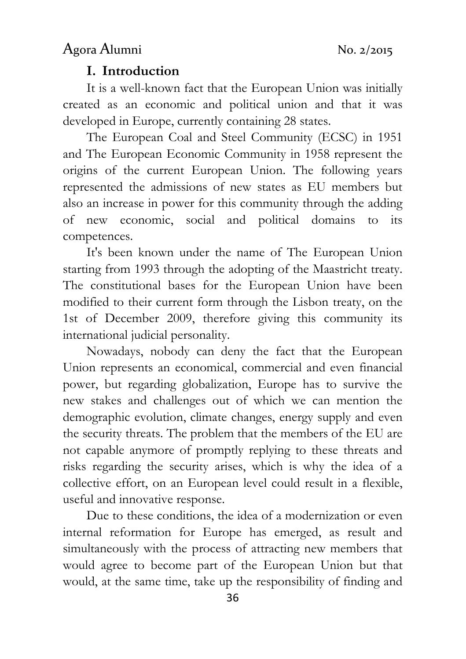#### I. Introduction

It is a well-known fact that the European Union was initially created as an economic and political union and that it was developed in Europe, currently containing 28 states.

The European Coal and Steel Community (ECSC) in 1951 and The European Economic Community in 1958 represent the origins of the current European Union. The following years represented the admissions of new states as EU members but also an increase in power for this community through the adding of new economic, social and political domains to its competences.

It's been known under the name of The European Union starting from 1993 through the adopting of the Maastricht treaty. The constitutional bases for the European Union have been modified to their current form through the Lisbon treaty, on the 1st of December 2009, therefore giving this community its international judicial personality.

Nowadays, nobody can deny the fact that the European Union represents an economical, commercial and even financial power, but regarding globalization, Europe has to survive the new stakes and challenges out of which we can mention the demographic evolution, climate changes, energy supply and even the security threats. The problem that the members of the EU are not capable anymore of promptly replying to these threats and risks regarding the security arises, which is why the idea of a collective effort, on an European level could result in a flexible, useful and innovative response.

Due to these conditions, the idea of a modernization or even internal reformation for Europe has emerged, as result and simultaneously with the process of attracting new members that would agree to become part of the European Union but that would, at the same time, take up the responsibility of finding and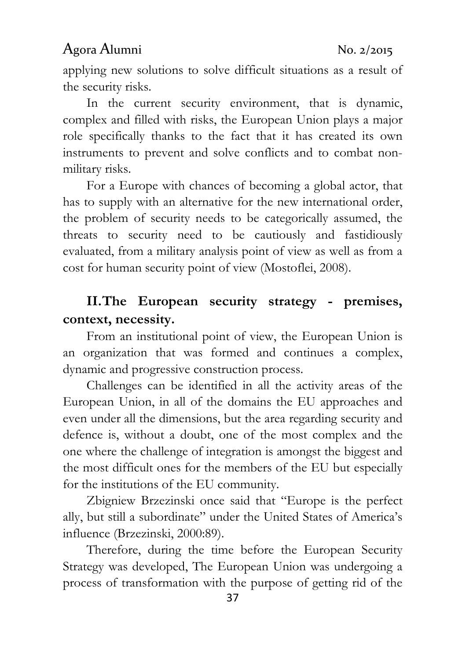applying new solutions to solve difficult situations as a result of the security risks.

In the current security environment, that is dynamic, complex and filled with risks, the European Union plays a major role specifically thanks to the fact that it has created its own instruments to prevent and solve conflicts and to combat nonmilitary risks.

For a Europe with chances of becoming a global actor, that has to supply with an alternative for the new international order, the problem of security needs to be categorically assumed, the threats to security need to be cautiously and fastidiously evaluated, from a military analysis point of view as well as from a cost for human security point of view (Mostoflei, 2008).

### II. The European security strategy - premises, context, necessity.

From an institutional point of view, the European Union is an organization that was formed and continues a complex, dynamic and progressive construction process.

Challenges can be identified in all the activity areas of the European Union, in all of the domains the EU approaches and even under all the dimensions, but the area regarding security and defence is, without a doubt, one of the most complex and the one where the challenge of integration is amongst the biggest and the most difficult ones for the members of the EU but especially for the institutions of the EU community.

Zbigniew Brzezinski once said that "Europe is the perfect ally, but still a subordinate" under the United States of America's influence (Brzezinski, 2000:89).

Therefore, during the time before the European Security Strategy was developed, The European Union was undergoing a process of transformation with the purpose of getting rid of the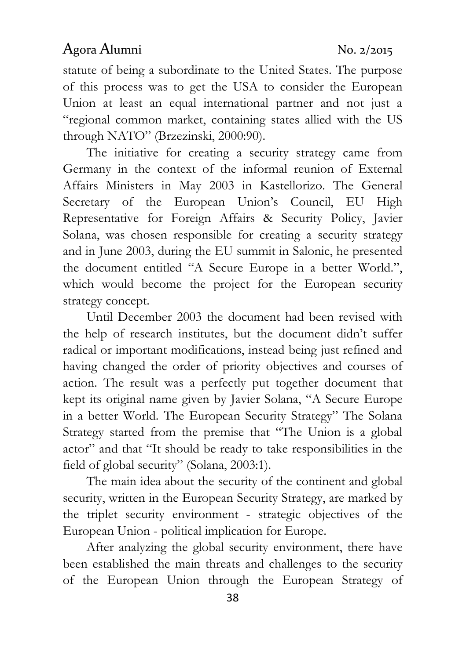statute of being a subordinate to the United States. The purpose of this process was to get the USA to consider the European Union at least an equal international partner and not just a "regional common market, containing states allied with the US through NATO" (Brzezinski, 2000:90).

The initiative for creating a security strategy came from Germany in the context of the informal reunion of External Affairs Ministers in May 2003 in Kastellorizo. The General Secretary of the European Union's Council, EU High Representative for Foreign Affairs & Security Policy, Javier Solana, was chosen responsible for creating a security strategy and in June 2003, during the EU summit in Salonic, he presented the document entitled "A Secure Europe in a better World.", which would become the project for the European security strategy concept.

Until December 2003 the document had been revised with the help of research institutes, but the document didn't suffer radical or important modifications, instead being just refined and having changed the order of priority objectives and courses of action. The result was a perfectly put together document that kept its original name given by Javier Solana, "A Secure Europe in a better World. The European Security Strategy" The Solana Strategy started from the premise that "The Union is a global actor" and that "It should be ready to take responsibilities in the field of global security" (Solana, 2003:1).

The main idea about the security of the continent and global security, written in the European Security Strategy, are marked by the triplet security environment - strategic objectives of the European Union - political implication for Europe.

After analyzing the global security environment, there have been established the main threats and challenges to the security of the European Union through the European Strategy of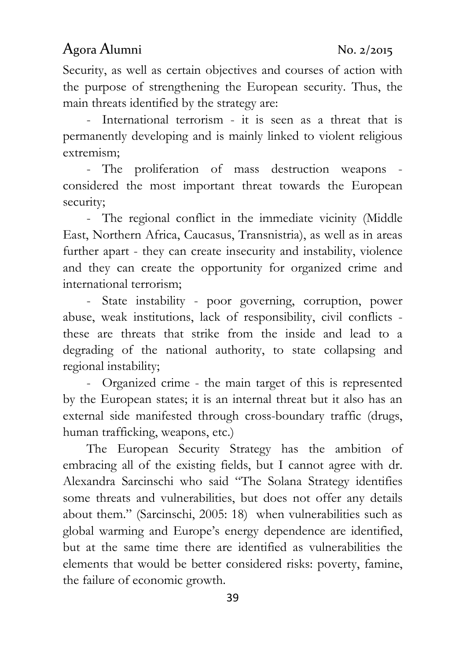Security, as well as certain objectives and courses of action with the purpose of strengthening the European security. Thus, the main threats identified by the strategy are:

- International terrorism - it is seen as a threat that is permanently developing and is mainly linked to violent religious extremism;

- The proliferation of mass destruction weapons considered the most important threat towards the European security;

- The regional conflict in the immediate vicinity (Middle East, Northern Africa, Caucasus, Transnistria), as well as in areas further apart - they can create insecurity and instability, violence and they can create the opportunity for organized crime and international terrorism;

- State instability - poor governing, corruption, power abuse, weak institutions, lack of responsibility, civil conflicts these are threats that strike from the inside and lead to a degrading of the national authority, to state collapsing and regional instability;

- Organized crime - the main target of this is represented by the European states; it is an internal threat but it also has an external side manifested through cross-boundary traffic (drugs, human trafficking, weapons, etc.)

The European Security Strategy has the ambition of embracing all of the existing fields, but I cannot agree with dr. Alexandra Sarcinschi who said "The Solana Strategy identifies some threats and vulnerabilities, but does not offer any details about them." (Sarcinschi, 2005: 18) when vulnerabilities such as global warming and Europe's energy dependence are identified, but at the same time there are identified as vulnerabilities the elements that would be better considered risks: poverty, famine, the failure of economic growth.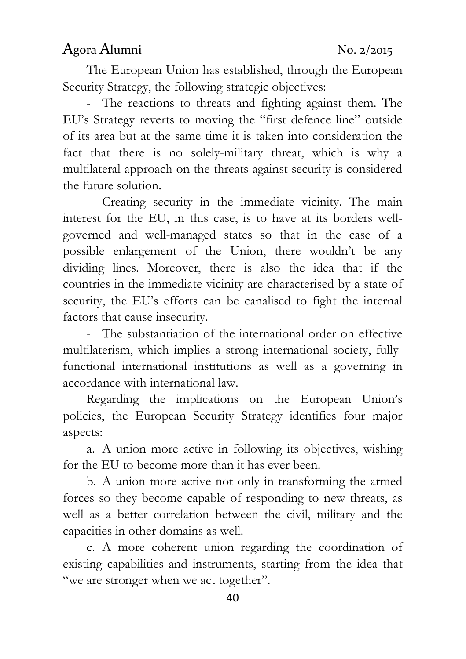The European Union has established, through the European Security Strategy, the following strategic objectives:

- The reactions to threats and fighting against them. The EU's Strategy reverts to moving the "first defence line" outside of its area but at the same time it is taken into consideration the fact that there is no solely-military threat, which is why a multilateral approach on the threats against security is considered the future solution.

- Creating security in the immediate vicinity. The main interest for the EU, in this case, is to have at its borders wellgoverned and well-managed states so that in the case of a possible enlargement of the Union, there wouldn't be any dividing lines. Moreover, there is also the idea that if the countries in the immediate vicinity are characterised by a state of security, the EU's efforts can be canalised to fight the internal factors that cause insecurity.

- The substantiation of the international order on effective multilaterism, which implies a strong international society, fullyfunctional international institutions as well as a governing in accordance with international law.

Regarding the implications on the European Union's policies, the European Security Strategy identifies four major aspects:

a. A union more active in following its objectives, wishing for the EU to become more than it has ever been.

b. A union more active not only in transforming the armed forces so they become capable of responding to new threats, as well as a better correlation between the civil, military and the capacities in other domains as well.

c. A more coherent union regarding the coordination of existing capabilities and instruments, starting from the idea that "we are stronger when we act together".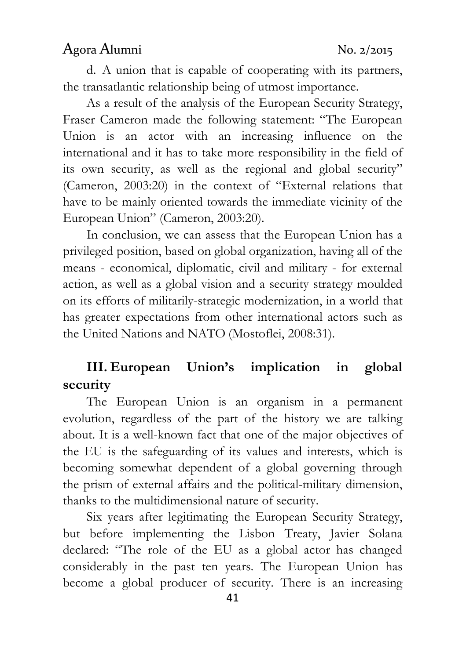d. A union that is capable of cooperating with its partners, the transatlantic relationship being of utmost importance.

As a result of the analysis of the European Security Strategy, Fraser Cameron made the following statement: "The European Union is an actor with an increasing influence on the international and it has to take more responsibility in the field of its own security, as well as the regional and global security" (Cameron, 2003:20) in the context of "External relations that have to be mainly oriented towards the immediate vicinity of the European Union" (Cameron, 2003:20).

In conclusion, we can assess that the European Union has a privileged position, based on global organization, having all of the means - economical, diplomatic, civil and military - for external action, as well as a global vision and a security strategy moulded on its efforts of militarily-strategic modernization, in a world that has greater expectations from other international actors such as the United Nations and NATO (Mostoflei, 2008:31).

# III. European Union's implication in global security

The European Union is an organism in a permanent evolution, regardless of the part of the history we are talking about. It is a well-known fact that one of the major objectives of the EU is the safeguarding of its values and interests, which is becoming somewhat dependent of a global governing through the prism of external affairs and the political-military dimension, thanks to the multidimensional nature of security.

Six years after legitimating the European Security Strategy, but before implementing the Lisbon Treaty, Javier Solana declared: "The role of the EU as a global actor has changed considerably in the past ten years. The European Union has become a global producer of security. There is an increasing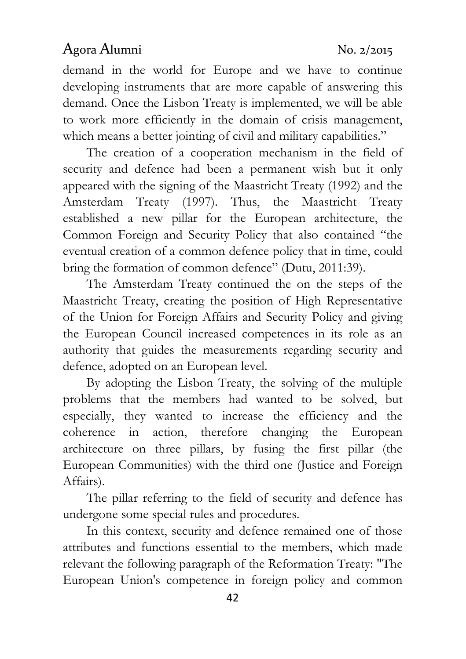demand in the world for Europe and we have to continue developing instruments that are more capable of answering this demand. Once the Lisbon Treaty is implemented, we will be able to work more efficiently in the domain of crisis management, which means a better jointing of civil and military capabilities."

The creation of a cooperation mechanism in the field of security and defence had been a permanent wish but it only appeared with the signing of the Maastricht Treaty (1992) and the Amsterdam Treaty (1997). Thus, the Maastricht Treaty established a new pillar for the European architecture, the Common Foreign and Security Policy that also contained "the eventual creation of a common defence policy that in time, could bring the formation of common defence" (Dutu, 2011:39).

The Amsterdam Treaty continued the on the steps of the Maastricht Treaty, creating the position of High Representative of the Union for Foreign Affairs and Security Policy and giving the European Council increased competences in its role as an authority that guides the measurements regarding security and defence, adopted on an European level.

By adopting the Lisbon Treaty, the solving of the multiple problems that the members had wanted to be solved, but especially, they wanted to increase the efficiency and the coherence in action, therefore changing the European architecture on three pillars, by fusing the first pillar (the European Communities) with the third one (Justice and Foreign Affairs).

The pillar referring to the field of security and defence has undergone some special rules and procedures.

In this context, security and defence remained one of those attributes and functions essential to the members, which made relevant the following paragraph of the Reformation Treaty: "The European Union's competence in foreign policy and common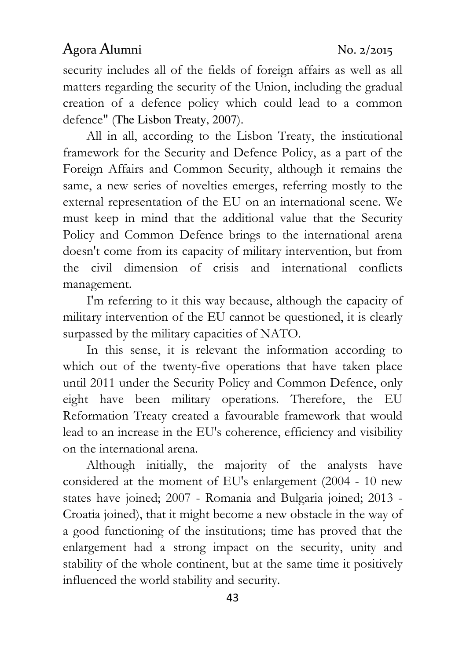security includes all of the fields of foreign affairs as well as all matters regarding the security of the Union, including the gradual creation of a defence policy which could lead to a common defence" (The Lisbon Treaty, 2007).

All in all, according to the Lisbon Treaty, the institutional framework for the Security and Defence Policy, as a part of the Foreign Affairs and Common Security, although it remains the same, a new series of novelties emerges, referring mostly to the external representation of the EU on an international scene. We must keep in mind that the additional value that the Security Policy and Common Defence brings to the international arena doesn't come from its capacity of military intervention, but from the civil dimension of crisis and international conflicts management.

I'm referring to it this way because, although the capacity of military intervention of the EU cannot be questioned, it is clearly surpassed by the military capacities of NATO.

In this sense, it is relevant the information according to which out of the twenty-five operations that have taken place until 2011 under the Security Policy and Common Defence, only eight have been military operations. Therefore, the EU Reformation Treaty created a favourable framework that would lead to an increase in the EU's coherence, efficiency and visibility on the international arena.

Although initially, the majority of the analysts have considered at the moment of EU's enlargement (2004 - 10 new states have joined; 2007 - Romania and Bulgaria joined; 2013 - Croatia joined), that it might become a new obstacle in the way of a good functioning of the institutions; time has proved that the enlargement had a strong impact on the security, unity and stability of the whole continent, but at the same time it positively influenced the world stability and security.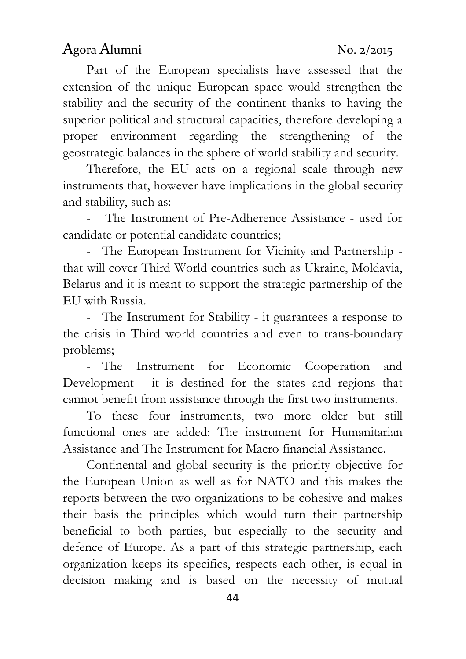Part of the European specialists have assessed that the extension of the unique European space would strengthen the stability and the security of the continent thanks to having the superior political and structural capacities, therefore developing a proper environment regarding the strengthening of the geostrategic balances in the sphere of world stability and security.

Therefore, the EU acts on a regional scale through new instruments that, however have implications in the global security and stability, such as:

The Instrument of Pre-Adherence Assistance - used for candidate or potential candidate countries;

- The European Instrument for Vicinity and Partnership that will cover Third World countries such as Ukraine, Moldavia, Belarus and it is meant to support the strategic partnership of the EU with Russia.

- The Instrument for Stability - it guarantees a response to the crisis in Third world countries and even to trans-boundary problems;

- The Instrument for Economic Cooperation and Development - it is destined for the states and regions that cannot benefit from assistance through the first two instruments.

To these four instruments, two more older but still functional ones are added: The instrument for Humanitarian Assistance and The Instrument for Macro financial Assistance.

Continental and global security is the priority objective for the European Union as well as for NATO and this makes the reports between the two organizations to be cohesive and makes their basis the principles which would turn their partnership beneficial to both parties, but especially to the security and defence of Europe. As a part of this strategic partnership, each organization keeps its specifics, respects each other, is equal in decision making and is based on the necessity of mutual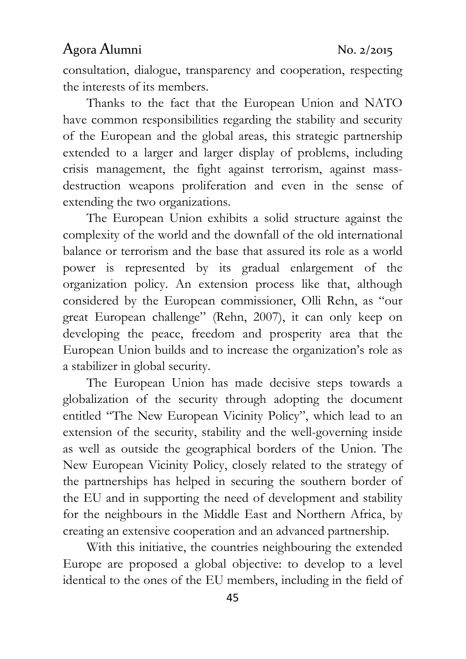consultation, dialogue, transparency and cooperation, respecting the interests of its members.

Thanks to the fact that the European Union and NATO have common responsibilities regarding the stability and security of the European and the global areas, this strategic partnership extended to a larger and larger display of problems, including crisis management, the fight against terrorism, against massdestruction weapons proliferation and even in the sense of extending the two organizations.

The European Union exhibits a solid structure against the complexity of the world and the downfall of the old international balance or terrorism and the base that assured its role as a world power is represented by its gradual enlargement of the organization policy. An extension process like that, although considered by the European commissioner, Olli Rehn, as "our great European challenge" (Rehn, 2007), it can only keep on developing the peace, freedom and prosperity area that the European Union builds and to increase the organization's role as a stabilizer in global security.

The European Union has made decisive steps towards a globalization of the security through adopting the document entitled "The New European Vicinity Policy", which lead to an extension of the security, stability and the well-governing inside as well as outside the geographical borders of the Union. The New European Vicinity Policy, closely related to the strategy of the partnerships has helped in securing the southern border of the EU and in supporting the need of development and stability for the neighbours in the Middle East and Northern Africa, by creating an extensive cooperation and an advanced partnership.

With this initiative, the countries neighbouring the extended Europe are proposed a global objective: to develop to a level identical to the ones of the EU members, including in the field of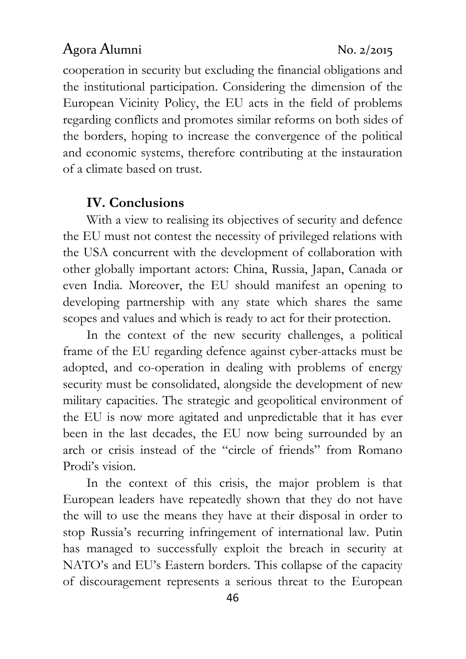cooperation in security but excluding the financial obligations and the institutional participation. Considering the dimension of the European Vicinity Policy, the EU acts in the field of problems regarding conflicts and promotes similar reforms on both sides of the borders, hoping to increase the convergence of the political and economic systems, therefore contributing at the instauration of a climate based on trust.

#### IV. Conclusions

With a view to realising its objectives of security and defence the EU must not contest the necessity of privileged relations with the USA concurrent with the development of collaboration with other globally important actors: China, Russia, Japan, Canada or even India. Moreover, the EU should manifest an opening to developing partnership with any state which shares the same scopes and values and which is ready to act for their protection.

In the context of the new security challenges, a political frame of the EU regarding defence against cyber-attacks must be adopted, and co-operation in dealing with problems of energy security must be consolidated, alongside the development of new military capacities. The strategic and geopolitical environment of the EU is now more agitated and unpredictable that it has ever been in the last decades, the EU now being surrounded by an arch or crisis instead of the "circle of friends" from Romano Prodi's vision.

In the context of this crisis, the major problem is that European leaders have repeatedly shown that they do not have the will to use the means they have at their disposal in order to stop Russia's recurring infringement of international law. Putin has managed to successfully exploit the breach in security at NATO's and EU's Eastern borders. This collapse of the capacity of discouragement represents a serious threat to the European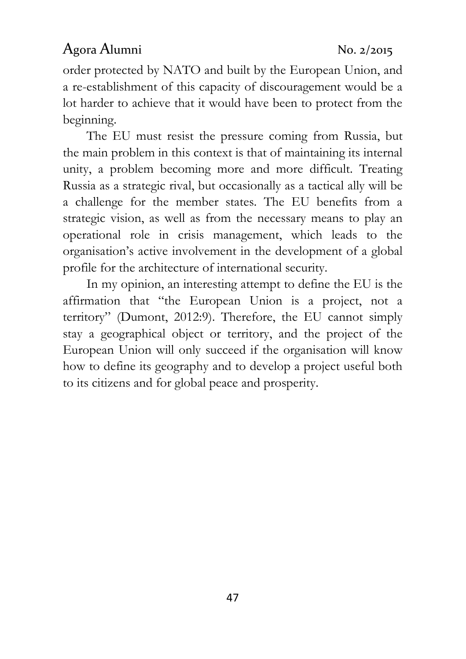order protected by NATO and built by the European Union, and a re-establishment of this capacity of discouragement would be a lot harder to achieve that it would have been to protect from the beginning.

The EU must resist the pressure coming from Russia, but the main problem in this context is that of maintaining its internal unity, a problem becoming more and more difficult. Treating Russia as a strategic rival, but occasionally as a tactical ally will be a challenge for the member states. The EU benefits from a strategic vision, as well as from the necessary means to play an operational role in crisis management, which leads to the organisation's active involvement in the development of a global profile for the architecture of international security.

In my opinion, an interesting attempt to define the EU is the affirmation that "the European Union is a project, not a territory" (Dumont, 2012:9). Therefore, the EU cannot simply stay a geographical object or territory, and the project of the European Union will only succeed if the organisation will know how to define its geography and to develop a project useful both to its citizens and for global peace and prosperity.